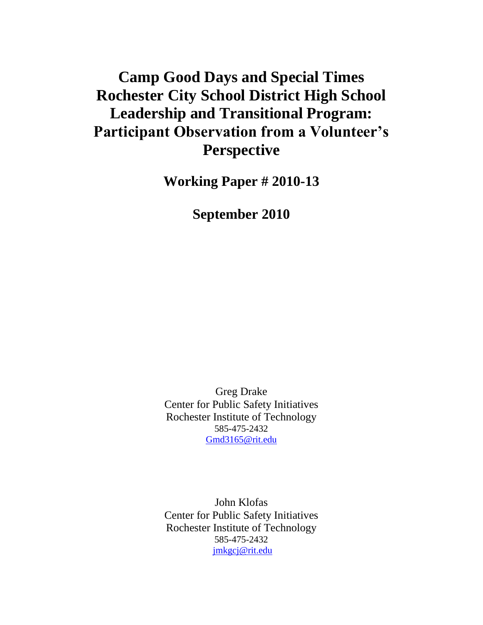# **Camp Good Days and Special Times Rochester City School District High School Leadership and Transitional Program: Participant Observation from a Volunteer's Perspective**

**Working Paper # 2010-13**

**September 2010**

Greg Drake Center for Public Safety Initiatives Rochester Institute of Technology 585-475-2432 [Gmd3165@rit.edu](mailto:Gmd3165@rit.edu)

John Klofas Center for Public Safety Initiatives Rochester Institute of Technology 585-475-2432 [jmkgcj@rit.edu](mailto:Gmd3165@rit.edu)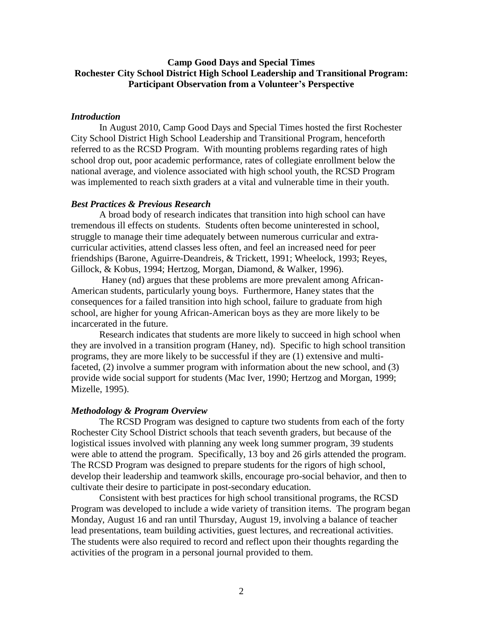# **Camp Good Days and Special Times Rochester City School District High School Leadership and Transitional Program: Participant Observation from a Volunteer's Perspective**

## *Introduction*

In August 2010, Camp Good Days and Special Times hosted the first Rochester City School District High School Leadership and Transitional Program, henceforth referred to as the RCSD Program. With mounting problems regarding rates of high school drop out, poor academic performance, rates of collegiate enrollment below the national average, and violence associated with high school youth, the RCSD Program was implemented to reach sixth graders at a vital and vulnerable time in their youth.

## *Best Practices & Previous Research*

A broad body of research indicates that transition into high school can have tremendous ill effects on students. Students often become uninterested in school, struggle to manage their time adequately between numerous curricular and extracurricular activities, attend classes less often, and feel an increased need for peer friendships (Barone, Aguirre-Deandreis, & Trickett, 1991; Wheelock, 1993; Reyes, Gillock, & Kobus, 1994; Hertzog, Morgan, Diamond, & Walker, 1996).

Haney (nd) argues that these problems are more prevalent among African-American students, particularly young boys. Furthermore, Haney states that the consequences for a failed transition into high school, failure to graduate from high school, are higher for young African-American boys as they are more likely to be incarcerated in the future.

Research indicates that students are more likely to succeed in high school when they are involved in a transition program (Haney, nd). Specific to high school transition programs, they are more likely to be successful if they are (1) extensive and multifaceted, (2) involve a summer program with information about the new school, and (3) provide wide social support for students (Mac Iver, 1990; Hertzog and Morgan, 1999; Mizelle, 1995).

#### *Methodology & Program Overview*

The RCSD Program was designed to capture two students from each of the forty Rochester City School District schools that teach seventh graders, but because of the logistical issues involved with planning any week long summer program, 39 students were able to attend the program. Specifically, 13 boy and 26 girls attended the program. The RCSD Program was designed to prepare students for the rigors of high school, develop their leadership and teamwork skills, encourage pro-social behavior, and then to cultivate their desire to participate in post-secondary education.

Consistent with best practices for high school transitional programs, the RCSD Program was developed to include a wide variety of transition items. The program began Monday, August 16 and ran until Thursday, August 19, involving a balance of teacher lead presentations, team building activities, guest lectures, and recreational activities. The students were also required to record and reflect upon their thoughts regarding the activities of the program in a personal journal provided to them.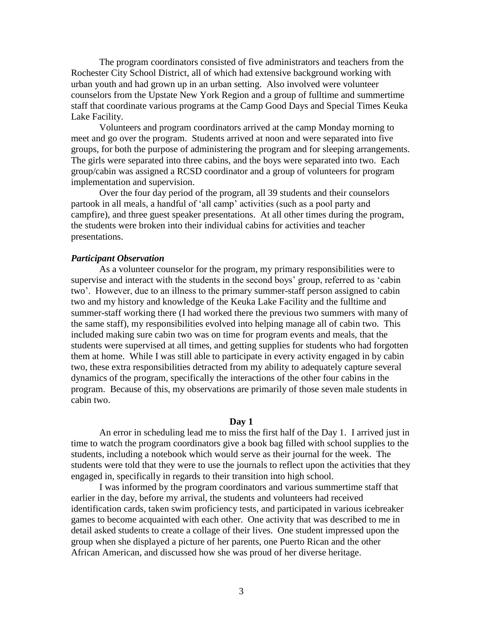The program coordinators consisted of five administrators and teachers from the Rochester City School District, all of which had extensive background working with urban youth and had grown up in an urban setting. Also involved were volunteer counselors from the Upstate New York Region and a group of fulltime and summertime staff that coordinate various programs at the Camp Good Days and Special Times Keuka Lake Facility.

Volunteers and program coordinators arrived at the camp Monday morning to meet and go over the program. Students arrived at noon and were separated into five groups, for both the purpose of administering the program and for sleeping arrangements. The girls were separated into three cabins, and the boys were separated into two. Each group/cabin was assigned a RCSD coordinator and a group of volunteers for program implementation and supervision.

Over the four day period of the program, all 39 students and their counselors partook in all meals, a handful of "all camp" activities (such as a pool party and campfire), and three guest speaker presentations. At all other times during the program, the students were broken into their individual cabins for activities and teacher presentations.

## *Participant Observation*

As a volunteer counselor for the program, my primary responsibilities were to supervise and interact with the students in the second boys' group, referred to as 'cabin two". However, due to an illness to the primary summer-staff person assigned to cabin two and my history and knowledge of the Keuka Lake Facility and the fulltime and summer-staff working there (I had worked there the previous two summers with many of the same staff), my responsibilities evolved into helping manage all of cabin two. This included making sure cabin two was on time for program events and meals, that the students were supervised at all times, and getting supplies for students who had forgotten them at home. While I was still able to participate in every activity engaged in by cabin two, these extra responsibilities detracted from my ability to adequately capture several dynamics of the program, specifically the interactions of the other four cabins in the program. Because of this, my observations are primarily of those seven male students in cabin two.

#### **Day 1**

An error in scheduling lead me to miss the first half of the Day 1. I arrived just in time to watch the program coordinators give a book bag filled with school supplies to the students, including a notebook which would serve as their journal for the week. The students were told that they were to use the journals to reflect upon the activities that they engaged in, specifically in regards to their transition into high school.

I was informed by the program coordinators and various summertime staff that earlier in the day, before my arrival, the students and volunteers had received identification cards, taken swim proficiency tests, and participated in various icebreaker games to become acquainted with each other. One activity that was described to me in detail asked students to create a collage of their lives. One student impressed upon the group when she displayed a picture of her parents, one Puerto Rican and the other African American, and discussed how she was proud of her diverse heritage.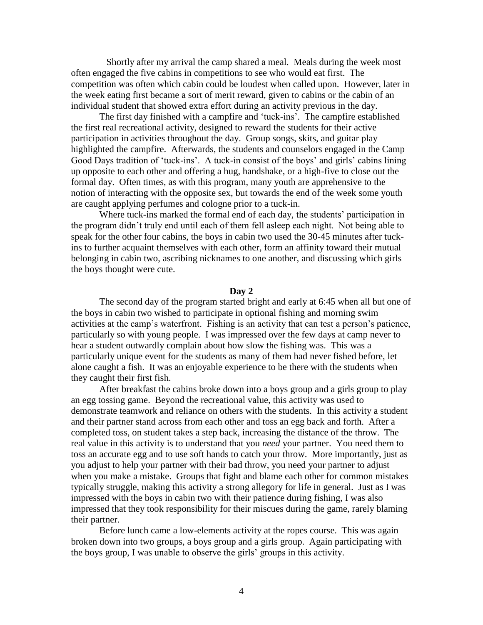Shortly after my arrival the camp shared a meal. Meals during the week most often engaged the five cabins in competitions to see who would eat first. The competition was often which cabin could be loudest when called upon. However, later in the week eating first became a sort of merit reward, given to cabins or the cabin of an individual student that showed extra effort during an activity previous in the day.

The first day finished with a campfire and "tuck-ins". The campfire established the first real recreational activity, designed to reward the students for their active participation in activities throughout the day. Group songs, skits, and guitar play highlighted the campfire. Afterwards, the students and counselors engaged in the Camp Good Days tradition of 'tuck-ins'. A tuck-in consist of the boys' and girls' cabins lining up opposite to each other and offering a hug, handshake, or a high-five to close out the formal day. Often times, as with this program, many youth are apprehensive to the notion of interacting with the opposite sex, but towards the end of the week some youth are caught applying perfumes and cologne prior to a tuck-in.

Where tuck-ins marked the formal end of each day, the students' participation in the program didn"t truly end until each of them fell asleep each night. Not being able to speak for the other four cabins, the boys in cabin two used the 30-45 minutes after tuckins to further acquaint themselves with each other, form an affinity toward their mutual belonging in cabin two, ascribing nicknames to one another, and discussing which girls the boys thought were cute.

#### **Day 2**

The second day of the program started bright and early at 6:45 when all but one of the boys in cabin two wished to participate in optional fishing and morning swim activities at the camp"s waterfront. Fishing is an activity that can test a person"s patience, particularly so with young people. I was impressed over the few days at camp never to hear a student outwardly complain about how slow the fishing was. This was a particularly unique event for the students as many of them had never fished before, let alone caught a fish. It was an enjoyable experience to be there with the students when they caught their first fish.

After breakfast the cabins broke down into a boys group and a girls group to play an egg tossing game. Beyond the recreational value, this activity was used to demonstrate teamwork and reliance on others with the students. In this activity a student and their partner stand across from each other and toss an egg back and forth. After a completed toss, on student takes a step back, increasing the distance of the throw. The real value in this activity is to understand that you *need* your partner. You need them to toss an accurate egg and to use soft hands to catch your throw. More importantly, just as you adjust to help your partner with their bad throw, you need your partner to adjust when you make a mistake. Groups that fight and blame each other for common mistakes typically struggle, making this activity a strong allegory for life in general. Just as I was impressed with the boys in cabin two with their patience during fishing, I was also impressed that they took responsibility for their miscues during the game, rarely blaming their partner.

Before lunch came a low-elements activity at the ropes course. This was again broken down into two groups, a boys group and a girls group. Again participating with the boys group, I was unable to observe the girls" groups in this activity.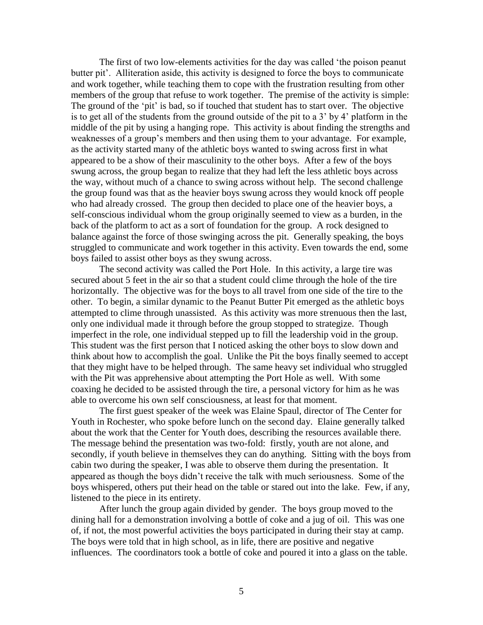The first of two low-elements activities for the day was called "the poison peanut butter pit'. Alliteration aside, this activity is designed to force the boys to communicate and work together, while teaching them to cope with the frustration resulting from other members of the group that refuse to work together. The premise of the activity is simple: The ground of the 'pit' is bad, so if touched that student has to start over. The objective is to get all of the students from the ground outside of the pit to a 3" by 4" platform in the middle of the pit by using a hanging rope. This activity is about finding the strengths and weaknesses of a group's members and then using them to your advantage. For example, as the activity started many of the athletic boys wanted to swing across first in what appeared to be a show of their masculinity to the other boys. After a few of the boys swung across, the group began to realize that they had left the less athletic boys across the way, without much of a chance to swing across without help. The second challenge the group found was that as the heavier boys swung across they would knock off people who had already crossed. The group then decided to place one of the heavier boys, a self-conscious individual whom the group originally seemed to view as a burden, in the back of the platform to act as a sort of foundation for the group. A rock designed to balance against the force of those swinging across the pit. Generally speaking, the boys struggled to communicate and work together in this activity. Even towards the end, some boys failed to assist other boys as they swung across.

The second activity was called the Port Hole. In this activity, a large tire was secured about 5 feet in the air so that a student could clime through the hole of the tire horizontally. The objective was for the boys to all travel from one side of the tire to the other. To begin, a similar dynamic to the Peanut Butter Pit emerged as the athletic boys attempted to clime through unassisted. As this activity was more strenuous then the last, only one individual made it through before the group stopped to strategize. Though imperfect in the role, one individual stepped up to fill the leadership void in the group. This student was the first person that I noticed asking the other boys to slow down and think about how to accomplish the goal. Unlike the Pit the boys finally seemed to accept that they might have to be helped through. The same heavy set individual who struggled with the Pit was apprehensive about attempting the Port Hole as well. With some coaxing he decided to be assisted through the tire, a personal victory for him as he was able to overcome his own self consciousness, at least for that moment.

The first guest speaker of the week was Elaine Spaul, director of The Center for Youth in Rochester, who spoke before lunch on the second day. Elaine generally talked about the work that the Center for Youth does, describing the resources available there. The message behind the presentation was two-fold: firstly, youth are not alone, and secondly, if youth believe in themselves they can do anything. Sitting with the boys from cabin two during the speaker, I was able to observe them during the presentation. It appeared as though the boys didn"t receive the talk with much seriousness. Some of the boys whispered, others put their head on the table or stared out into the lake. Few, if any, listened to the piece in its entirety.

After lunch the group again divided by gender. The boys group moved to the dining hall for a demonstration involving a bottle of coke and a jug of oil. This was one of, if not, the most powerful activities the boys participated in during their stay at camp. The boys were told that in high school, as in life, there are positive and negative influences. The coordinators took a bottle of coke and poured it into a glass on the table.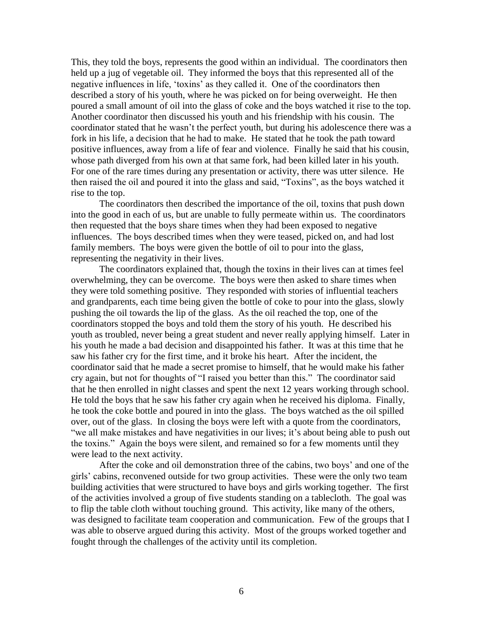This, they told the boys, represents the good within an individual. The coordinators then held up a jug of vegetable oil. They informed the boys that this represented all of the negative influences in life, "toxins" as they called it. One of the coordinators then described a story of his youth, where he was picked on for being overweight. He then poured a small amount of oil into the glass of coke and the boys watched it rise to the top. Another coordinator then discussed his youth and his friendship with his cousin. The coordinator stated that he wasn"t the perfect youth, but during his adolescence there was a fork in his life, a decision that he had to make. He stated that he took the path toward positive influences, away from a life of fear and violence. Finally he said that his cousin, whose path diverged from his own at that same fork, had been killed later in his youth. For one of the rare times during any presentation or activity, there was utter silence. He then raised the oil and poured it into the glass and said, "Toxins", as the boys watched it rise to the top.

The coordinators then described the importance of the oil, toxins that push down into the good in each of us, but are unable to fully permeate within us. The coordinators then requested that the boys share times when they had been exposed to negative influences. The boys described times when they were teased, picked on, and had lost family members. The boys were given the bottle of oil to pour into the glass, representing the negativity in their lives.

The coordinators explained that, though the toxins in their lives can at times feel overwhelming, they can be overcome. The boys were then asked to share times when they were told something positive. They responded with stories of influential teachers and grandparents, each time being given the bottle of coke to pour into the glass, slowly pushing the oil towards the lip of the glass. As the oil reached the top, one of the coordinators stopped the boys and told them the story of his youth. He described his youth as troubled, never being a great student and never really applying himself. Later in his youth he made a bad decision and disappointed his father. It was at this time that he saw his father cry for the first time, and it broke his heart. After the incident, the coordinator said that he made a secret promise to himself, that he would make his father cry again, but not for thoughts of "I raised you better than this." The coordinator said that he then enrolled in night classes and spent the next 12 years working through school. He told the boys that he saw his father cry again when he received his diploma. Finally, he took the coke bottle and poured in into the glass. The boys watched as the oil spilled over, out of the glass. In closing the boys were left with a quote from the coordinators, "we all make mistakes and have negativities in our lives; it's about being able to push out the toxins." Again the boys were silent, and remained so for a few moments until they were lead to the next activity.

After the coke and oil demonstration three of the cabins, two boys" and one of the girls" cabins, reconvened outside for two group activities. These were the only two team building activities that were structured to have boys and girls working together. The first of the activities involved a group of five students standing on a tablecloth. The goal was to flip the table cloth without touching ground. This activity, like many of the others, was designed to facilitate team cooperation and communication. Few of the groups that I was able to observe argued during this activity. Most of the groups worked together and fought through the challenges of the activity until its completion.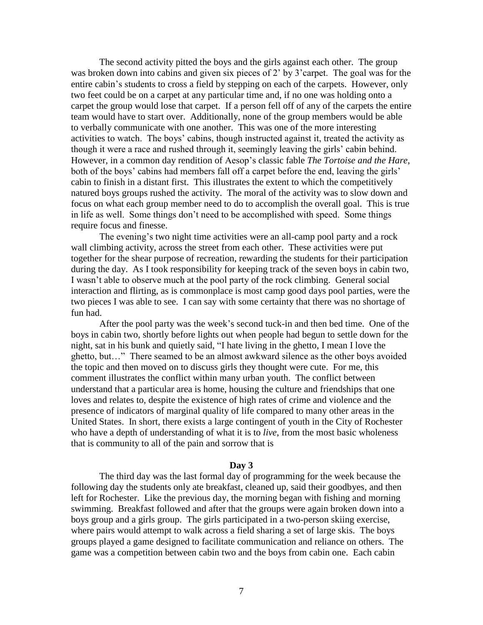The second activity pitted the boys and the girls against each other. The group was broken down into cabins and given six pieces of 2' by 3'carpet. The goal was for the entire cabin"s students to cross a field by stepping on each of the carpets. However, only two feet could be on a carpet at any particular time and, if no one was holding onto a carpet the group would lose that carpet. If a person fell off of any of the carpets the entire team would have to start over. Additionally, none of the group members would be able to verbally communicate with one another. This was one of the more interesting activities to watch. The boys' cabins, though instructed against it, treated the activity as though it were a race and rushed through it, seemingly leaving the girls" cabin behind. However, in a common day rendition of Aesop"s classic fable *The Tortoise and the Hare*, both of the boys' cabins had members fall off a carpet before the end, leaving the girls' cabin to finish in a distant first. This illustrates the extent to which the competitively natured boys groups rushed the activity. The moral of the activity was to slow down and focus on what each group member need to do to accomplish the overall goal. This is true in life as well. Some things don"t need to be accomplished with speed. Some things require focus and finesse.

The evening"s two night time activities were an all-camp pool party and a rock wall climbing activity, across the street from each other. These activities were put together for the shear purpose of recreation, rewarding the students for their participation during the day. As I took responsibility for keeping track of the seven boys in cabin two, I wasn"t able to observe much at the pool party of the rock climbing. General social interaction and flirting, as is commonplace is most camp good days pool parties, were the two pieces I was able to see. I can say with some certainty that there was no shortage of fun had.

After the pool party was the week"s second tuck-in and then bed time. One of the boys in cabin two, shortly before lights out when people had begun to settle down for the night, sat in his bunk and quietly said, "I hate living in the ghetto, I mean I love the ghetto, but…" There seamed to be an almost awkward silence as the other boys avoided the topic and then moved on to discuss girls they thought were cute. For me, this comment illustrates the conflict within many urban youth. The conflict between understand that a particular area is home, housing the culture and friendships that one loves and relates to, despite the existence of high rates of crime and violence and the presence of indicators of marginal quality of life compared to many other areas in the United States. In short, there exists a large contingent of youth in the City of Rochester who have a depth of understanding of what it is to *live*, from the most basic wholeness that is community to all of the pain and sorrow that is

#### **Day 3**

The third day was the last formal day of programming for the week because the following day the students only ate breakfast, cleaned up, said their goodbyes, and then left for Rochester. Like the previous day, the morning began with fishing and morning swimming. Breakfast followed and after that the groups were again broken down into a boys group and a girls group. The girls participated in a two-person skiing exercise, where pairs would attempt to walk across a field sharing a set of large skis. The boys groups played a game designed to facilitate communication and reliance on others. The game was a competition between cabin two and the boys from cabin one. Each cabin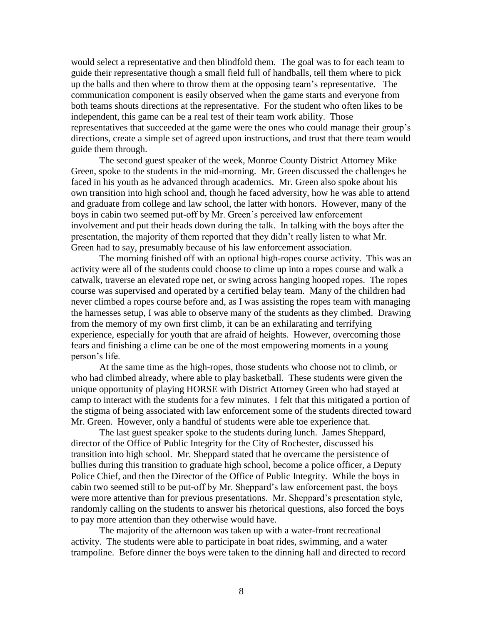would select a representative and then blindfold them. The goal was to for each team to guide their representative though a small field full of handballs, tell them where to pick up the balls and then where to throw them at the opposing team"s representative. The communication component is easily observed when the game starts and everyone from both teams shouts directions at the representative. For the student who often likes to be independent, this game can be a real test of their team work ability. Those representatives that succeeded at the game were the ones who could manage their group"s directions, create a simple set of agreed upon instructions, and trust that there team would guide them through.

The second guest speaker of the week, Monroe County District Attorney Mike Green, spoke to the students in the mid-morning. Mr. Green discussed the challenges he faced in his youth as he advanced through academics. Mr. Green also spoke about his own transition into high school and, though he faced adversity, how he was able to attend and graduate from college and law school, the latter with honors. However, many of the boys in cabin two seemed put-off by Mr. Green"s perceived law enforcement involvement and put their heads down during the talk. In talking with the boys after the presentation, the majority of them reported that they didn"t really listen to what Mr. Green had to say, presumably because of his law enforcement association.

The morning finished off with an optional high-ropes course activity. This was an activity were all of the students could choose to clime up into a ropes course and walk a catwalk, traverse an elevated rope net, or swing across hanging hooped ropes. The ropes course was supervised and operated by a certified belay team. Many of the children had never climbed a ropes course before and, as I was assisting the ropes team with managing the harnesses setup, I was able to observe many of the students as they climbed. Drawing from the memory of my own first climb, it can be an exhilarating and terrifying experience, especially for youth that are afraid of heights. However, overcoming those fears and finishing a clime can be one of the most empowering moments in a young person"s life.

At the same time as the high-ropes, those students who choose not to climb, or who had climbed already, where able to play basketball. These students were given the unique opportunity of playing HORSE with District Attorney Green who had stayed at camp to interact with the students for a few minutes. I felt that this mitigated a portion of the stigma of being associated with law enforcement some of the students directed toward Mr. Green. However, only a handful of students were able toe experience that.

The last guest speaker spoke to the students during lunch. James Sheppard, director of the Office of Public Integrity for the City of Rochester, discussed his transition into high school. Mr. Sheppard stated that he overcame the persistence of bullies during this transition to graduate high school, become a police officer, a Deputy Police Chief, and then the Director of the Office of Public Integrity. While the boys in cabin two seemed still to be put-off by Mr. Sheppard"s law enforcement past, the boys were more attentive than for previous presentations. Mr. Sheppard"s presentation style, randomly calling on the students to answer his rhetorical questions, also forced the boys to pay more attention than they otherwise would have.

The majority of the afternoon was taken up with a water-front recreational activity. The students were able to participate in boat rides, swimming, and a water trampoline. Before dinner the boys were taken to the dinning hall and directed to record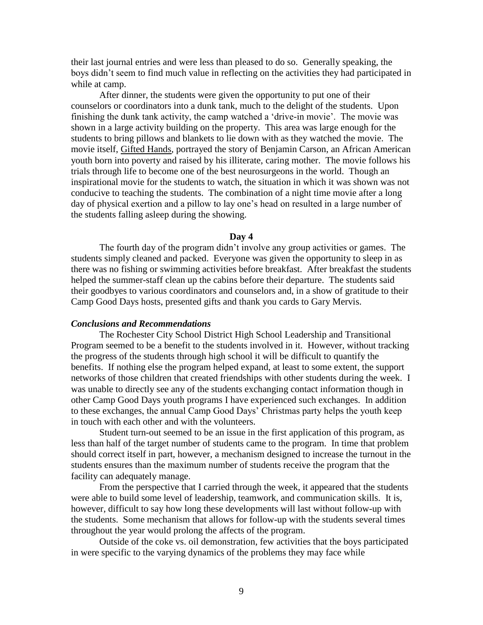their last journal entries and were less than pleased to do so. Generally speaking, the boys didn"t seem to find much value in reflecting on the activities they had participated in while at camp.

After dinner, the students were given the opportunity to put one of their counselors or coordinators into a dunk tank, much to the delight of the students. Upon finishing the dunk tank activity, the camp watched a "drive-in movie". The movie was shown in a large activity building on the property. This area was large enough for the students to bring pillows and blankets to lie down with as they watched the movie. The movie itself, Gifted Hands, portrayed the story of Benjamin Carson, an African American youth born into poverty and raised by his illiterate, caring mother. The movie follows his trials through life to become one of the best neurosurgeons in the world. Though an inspirational movie for the students to watch, the situation in which it was shown was not conducive to teaching the students. The combination of a night time movie after a long day of physical exertion and a pillow to lay one"s head on resulted in a large number of the students falling asleep during the showing.

#### **Day 4**

The fourth day of the program didn"t involve any group activities or games. The students simply cleaned and packed. Everyone was given the opportunity to sleep in as there was no fishing or swimming activities before breakfast. After breakfast the students helped the summer-staff clean up the cabins before their departure. The students said their goodbyes to various coordinators and counselors and, in a show of gratitude to their Camp Good Days hosts, presented gifts and thank you cards to Gary Mervis.

#### *Conclusions and Recommendations*

The Rochester City School District High School Leadership and Transitional Program seemed to be a benefit to the students involved in it. However, without tracking the progress of the students through high school it will be difficult to quantify the benefits. If nothing else the program helped expand, at least to some extent, the support networks of those children that created friendships with other students during the week. I was unable to directly see any of the students exchanging contact information though in other Camp Good Days youth programs I have experienced such exchanges. In addition to these exchanges, the annual Camp Good Days" Christmas party helps the youth keep in touch with each other and with the volunteers.

Student turn-out seemed to be an issue in the first application of this program, as less than half of the target number of students came to the program. In time that problem should correct itself in part, however, a mechanism designed to increase the turnout in the students ensures than the maximum number of students receive the program that the facility can adequately manage.

From the perspective that I carried through the week, it appeared that the students were able to build some level of leadership, teamwork, and communication skills. It is, however, difficult to say how long these developments will last without follow-up with the students. Some mechanism that allows for follow-up with the students several times throughout the year would prolong the affects of the program.

Outside of the coke vs. oil demonstration, few activities that the boys participated in were specific to the varying dynamics of the problems they may face while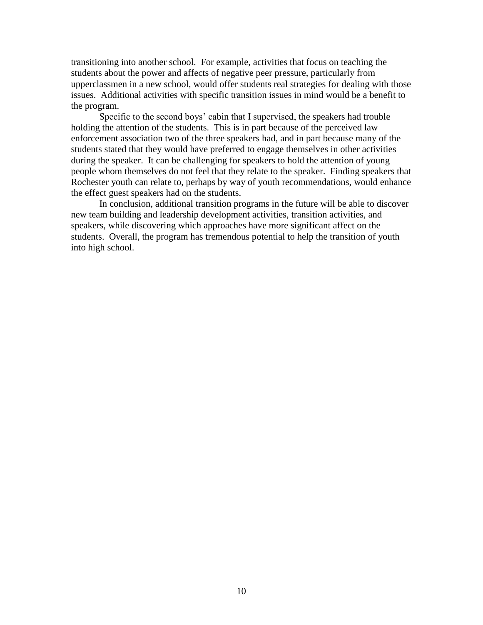transitioning into another school. For example, activities that focus on teaching the students about the power and affects of negative peer pressure, particularly from upperclassmen in a new school, would offer students real strategies for dealing with those issues. Additional activities with specific transition issues in mind would be a benefit to the program.

Specific to the second boys' cabin that I supervised, the speakers had trouble holding the attention of the students. This is in part because of the perceived law enforcement association two of the three speakers had, and in part because many of the students stated that they would have preferred to engage themselves in other activities during the speaker. It can be challenging for speakers to hold the attention of young people whom themselves do not feel that they relate to the speaker. Finding speakers that Rochester youth can relate to, perhaps by way of youth recommendations, would enhance the effect guest speakers had on the students.

In conclusion, additional transition programs in the future will be able to discover new team building and leadership development activities, transition activities, and speakers, while discovering which approaches have more significant affect on the students. Overall, the program has tremendous potential to help the transition of youth into high school.